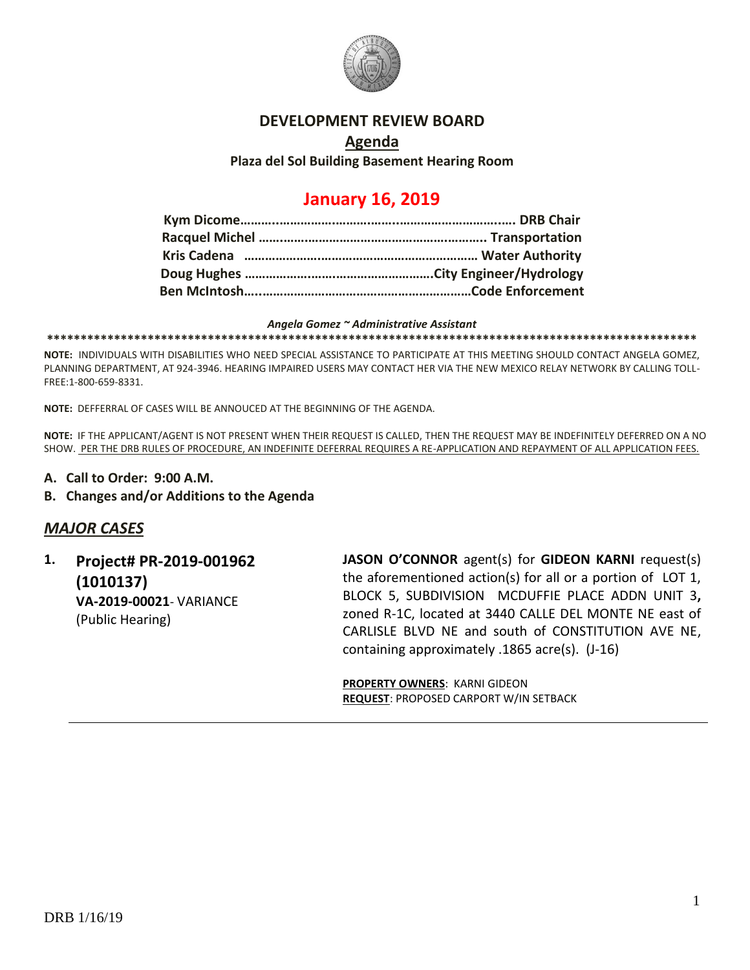

#### **DEVELOPMENT REVIEW BOARD**

### **Agenda Plaza del Sol Building Basement Hearing Room**

# **January 16, 2019**

#### *Angela Gomez ~ Administrative Assistant*

**\*\*\*\*\*\*\*\*\*\*\*\*\*\*\*\*\*\*\*\*\*\*\*\*\*\*\*\*\*\*\*\*\*\*\*\*\*\*\*\*\*\*\*\*\*\*\*\*\*\*\*\*\*\*\*\*\*\*\*\*\*\*\*\*\*\*\*\*\*\*\*\*\*\*\*\*\*\*\*\*\*\*\*\*\*\*\*\*\*\*\*\*\*\*\*\*\***

**NOTE:** INDIVIDUALS WITH DISABILITIES WHO NEED SPECIAL ASSISTANCE TO PARTICIPATE AT THIS MEETING SHOULD CONTACT ANGELA GOMEZ, PLANNING DEPARTMENT, AT 924-3946. HEARING IMPAIRED USERS MAY CONTACT HER VIA THE NEW MEXICO RELAY NETWORK BY CALLING TOLL-FREE:1-800-659-8331.

**NOTE:** DEFFERRAL OF CASES WILL BE ANNOUCED AT THE BEGINNING OF THE AGENDA.

**NOTE:** IF THE APPLICANT/AGENT IS NOT PRESENT WHEN THEIR REQUEST IS CALLED, THEN THE REQUEST MAY BE INDEFINITELY DEFERRED ON A NO SHOW. PER THE DRB RULES OF PROCEDURE, AN INDEFINITE DEFERRAL REQUIRES A RE-APPLICATION AND REPAYMENT OF ALL APPLICATION FEES.

- **A. Call to Order: 9:00 A.M.**
- **B. Changes and/or Additions to the Agenda**

### *MAJOR CASES*

**1. Project# PR-2019-001962 (1010137) VA-2019-00021**- VARIANCE (Public Hearing)

**JASON O'CONNOR** agent(s) for **GIDEON KARNI** request(s) the aforementioned action(s) for all or a portion of LOT 1, BLOCK 5, SUBDIVISION MCDUFFIE PLACE ADDN UNIT 3**,**  zoned R-1C, located at 3440 CALLE DEL MONTE NE east of CARLISLE BLVD NE and south of CONSTITUTION AVE NE, containing approximately .1865 acre(s). (J-16)

**PROPERTY OWNERS**: KARNI GIDEON **REQUEST**: PROPOSED CARPORT W/IN SETBACK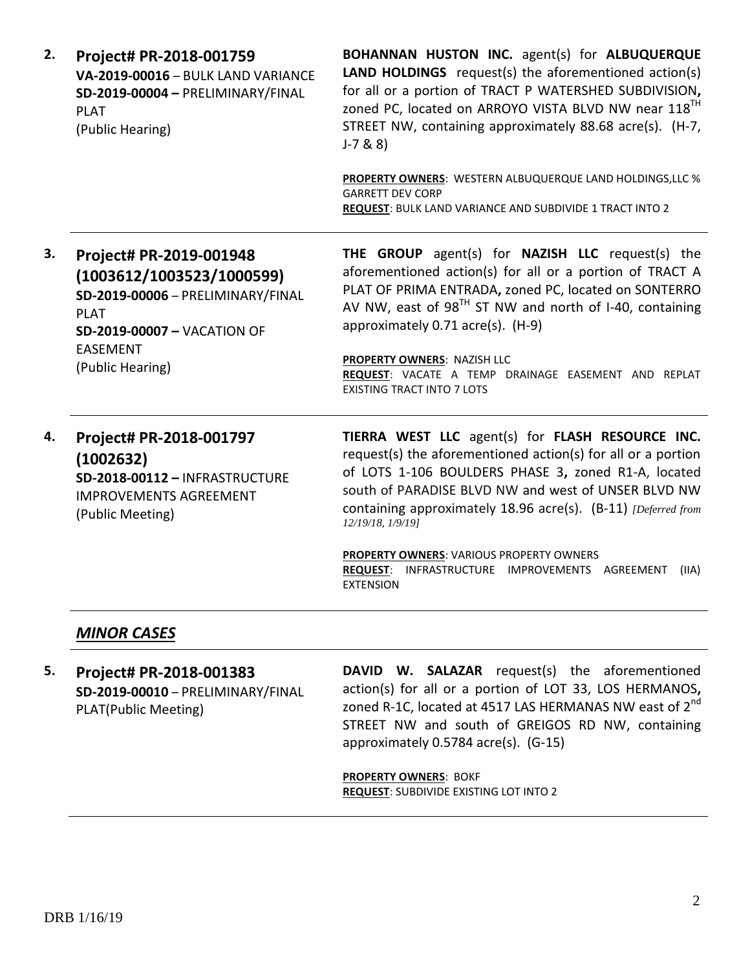| 2. | Project# PR-2018-001759<br>VA-2019-00016 - BULK LAND VARIANCE<br>SD-2019-00004 - PRELIMINARY/FINAL<br><b>PLAT</b><br>(Public Hearing)                                          | BOHANNAN HUSTON INC. agent(s) for ALBUQUERQUE<br><b>LAND HOLDINGS</b> request(s) the aforementioned action(s)<br>for all or a portion of TRACT P WATERSHED SUBDIVISION,<br>zoned PC, located on ARROYO VISTA BLVD NW near 118 <sup>TH</sup><br>STREET NW, containing approximately 88.68 acre(s). (H-7,<br>$J - 7 & 8 & 8$                                                                                  |
|----|--------------------------------------------------------------------------------------------------------------------------------------------------------------------------------|-------------------------------------------------------------------------------------------------------------------------------------------------------------------------------------------------------------------------------------------------------------------------------------------------------------------------------------------------------------------------------------------------------------|
|    |                                                                                                                                                                                | PROPERTY OWNERS: WESTERN ALBUQUERQUE LAND HOLDINGS, LLC %<br><b>GARRETT DEV CORP</b><br>REQUEST: BULK LAND VARIANCE AND SUBDIVIDE 1 TRACT INTO 2                                                                                                                                                                                                                                                            |
| 3. | Project# PR-2019-001948<br>(1003612/1003523/1000599)<br>SD-2019-00006 - PRELIMINARY/FINAL<br><b>PLAT</b><br>SD-2019-00007 - VACATION OF<br><b>EASEMENT</b><br>(Public Hearing) | THE GROUP agent(s) for NAZISH LLC request(s) the<br>aforementioned action(s) for all or a portion of TRACT A<br>PLAT OF PRIMA ENTRADA, zoned PC, located on SONTERRO<br>AV NW, east of 98 <sup>TH</sup> ST NW and north of I-40, containing<br>approximately 0.71 acre(s). (H-9)<br>PROPERTY OWNERS: NAZISH LLC<br>REQUEST: VACATE A TEMP DRAINAGE EASEMENT AND REPLAT<br><b>EXISTING TRACT INTO 7 LOTS</b> |
| 4. | Project# PR-2018-001797<br>(1002632)<br>SD-2018-00112 - INFRASTRUCTURE<br><b>IMPROVEMENTS AGREEMENT</b><br>(Public Meeting)                                                    | TIERRA WEST LLC agent(s) for FLASH RESOURCE INC.<br>request(s) the aforementioned action(s) for all or a portion<br>of LOTS 1-106 BOULDERS PHASE 3, zoned R1-A, located<br>south of PARADISE BLVD NW and west of UNSER BLVD NW<br>containing approximately 18.96 acre(s). (B-11) [Deferred from<br>12/19/18, 1/9/19]                                                                                        |
|    |                                                                                                                                                                                | PROPERTY OWNERS: VARIOUS PROPERTY OWNERS<br>INFRASTRUCTURE IMPROVEMENTS AGREEMENT<br><b>REQUEST:</b><br>(IIA)<br><b>EXTENSION</b>                                                                                                                                                                                                                                                                           |

## *MINOR CASES*

**5. Project# PR-2018-001383 SD-2019-00010** – PRELIMINARY/FINAL PLAT(Public Meeting)

**DAVID W. SALAZAR** request(s) the aforementioned action(s) for all or a portion of LOT 33, LOS HERMANOS**,**  zoned R-1C, located at 4517 LAS HERMANAS NW east of 2<sup>nd</sup> STREET NW and south of GREIGOS RD NW, containing approximately 0.5784 acre(s). (G-15)

**PROPERTY OWNERS**: BOKF **REQUEST**: SUBDIVIDE EXISTING LOT INTO 2